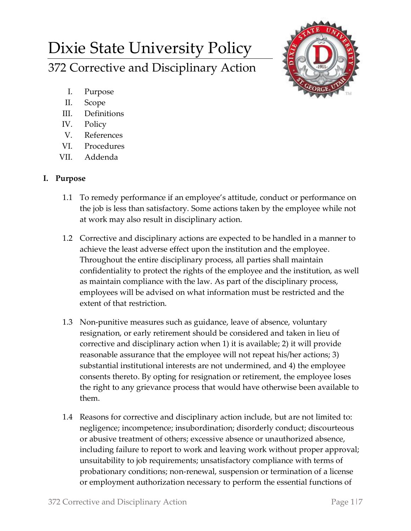# Dixie State University Policy 372 Corrective and Disciplinary Action



- I. Purpose
- II. Scope
- III. Definitions
- IV. Policy
- V. References
- VI. Procedures
- VII. Addenda

# **I. Purpose**

- 1.1 To remedy performance if an employee's attitude, conduct or performance on the job is less than satisfactory. Some actions taken by the employee while not at work may also result in disciplinary action.
- 1.2 Corrective and disciplinary actions are expected to be handled in a manner to achieve the least adverse effect upon the institution and the employee. Throughout the entire disciplinary process, all parties shall maintain confidentiality to protect the rights of the employee and the institution, as well as maintain compliance with the law. As part of the disciplinary process, employees will be advised on what information must be restricted and the extent of that restriction.
- 1.3 Non-punitive measures such as guidance, leave of absence, voluntary resignation, or early retirement should be considered and taken in lieu of corrective and disciplinary action when 1) it is available; 2) it will provide reasonable assurance that the employee will not repeat his/her actions; 3) substantial institutional interests are not undermined, and 4) the employee consents thereto. By opting for resignation or retirement, the employee loses the right to any grievance process that would have otherwise been available to them.
- 1.4 Reasons for corrective and disciplinary action include, but are not limited to: negligence; incompetence; insubordination; disorderly conduct; discourteous or abusive treatment of others; excessive absence or unauthorized absence, including failure to report to work and leaving work without proper approval; unsuitability to job requirements; unsatisfactory compliance with terms of probationary conditions; non-renewal, suspension or termination of a license or employment authorization necessary to perform the essential functions of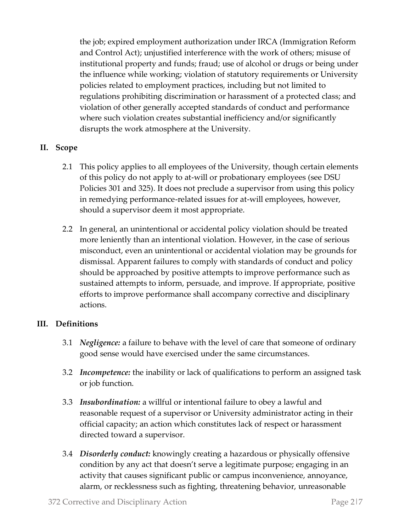the job; expired employment authorization under IRCA (Immigration Reform and Control Act); unjustified interference with the work of others; misuse of institutional property and funds; fraud; use of alcohol or drugs or being under the influence while working; violation of statutory requirements or University policies related to employment practices, including but not limited to regulations prohibiting discrimination or harassment of a protected class; and violation of other generally accepted standards of conduct and performance where such violation creates substantial inefficiency and/or significantly disrupts the work atmosphere at the University.

## **II. Scope**

- 2.1 This policy applies to all employees of the University, though certain elements of this policy do not apply to at-will or probationary employees (see DSU Policies 301 and 325). It does not preclude a supervisor from using this policy in remedying performance-related issues for at-will employees, however, should a supervisor deem it most appropriate.
- 2.2 In general, an unintentional or accidental policy violation should be treated more leniently than an intentional violation. However, in the case of serious misconduct, even an unintentional or accidental violation may be grounds for dismissal. Apparent failures to comply with standards of conduct and policy should be approached by positive attempts to improve performance such as sustained attempts to inform, persuade, and improve. If appropriate, positive efforts to improve performance shall accompany corrective and disciplinary actions.

## **III. Definitions**

- 3.1 *Negligence:* a failure to behave with the level of care that someone of ordinary good sense would have exercised under the same circumstances.
- 3.2 *Incompetence:* the inability or lack of qualifications to perform an assigned task or job function.
- 3.3 *Insubordination:* a willful or intentional failure to obey a lawful and reasonable request of a supervisor or University administrator acting in their official capacity; an action which constitutes lack of respect or harassment directed toward a supervisor.
- 3.4 *Disorderly conduct:* knowingly creating a hazardous or physically offensive condition by any act that doesn't serve a legitimate purpose; engaging in an activity that causes significant public or campus inconvenience, annoyance, alarm, or recklessness such as fighting, threatening behavior, unreasonable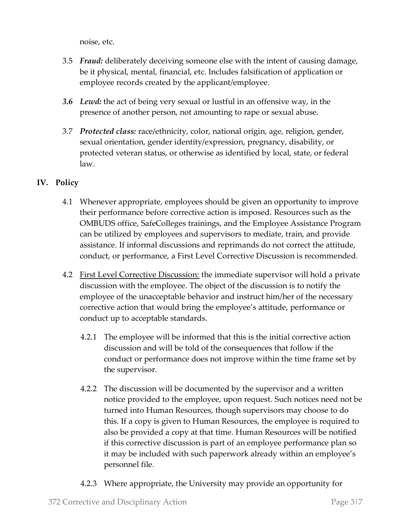noise, etc.

- 3.5 *Fraud:* deliberately deceiving someone else with the intent of causing damage, be it physical, mental, financial, etc. Includes falsification of application or employee records created by the applicant/employee.
- *3.6 Lewd:* the act of being very sexual or lustful in an offensive way, in the presence of another person, not amounting to rape or sexual abuse.
- 3.7 *Protected class:* race/ethnicity, color, national origin, age, religion, gender, sexual orientation, gender identity/expression, pregnancy, disability, or protected veteran status, or otherwise as identified by local, state, or federal law.

# **IV. Policy**

- 4.1 Whenever appropriate, employees should be given an opportunity to improve their performance before corrective action is imposed. Resources such as the OMBUDS office, SafeColleges trainings, and the Employee Assistance Program can be utilized by employees and supervisors to mediate, train, and provide assistance. If informal discussions and reprimands do not correct the attitude, conduct, or performance, a First Level Corrective Discussion is recommended.
- 4.2 First Level Corrective Discussion: the immediate supervisor will hold a private discussion with the employee. The object of the discussion is to notify the employee of the unacceptable behavior and instruct him/her of the necessary corrective action that would bring the employee's attitude, performance or conduct up to acceptable standards.
	- 4.2.1 The employee will be informed that this is the initial corrective action discussion and will be told of the consequences that follow if the conduct or performance does not improve within the time frame set by the supervisor.
	- 4.2.2 The discussion will be documented by the supervisor and a written notice provided to the employee, upon request. Such notices need not be turned into Human Resources, though supervisors may choose to do this. If a copy is given to Human Resources, the employee is required to also be provided a copy at that time. Human Resources will be notified if this corrective discussion is part of an employee performance plan so it may be included with such paperwork already within an employee's personnel file.
	- 4.2.3 Where appropriate, the University may provide an opportunity for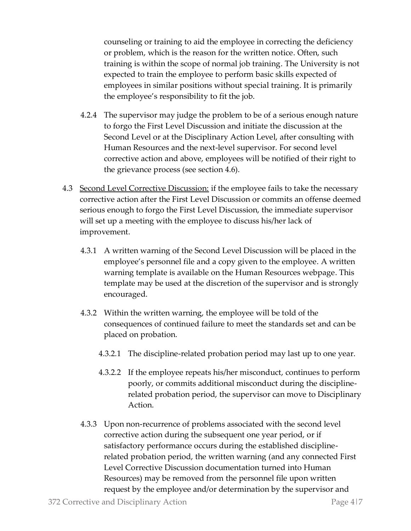counseling or training to aid the employee in correcting the deficiency or problem, which is the reason for the written notice. Often, such training is within the scope of normal job training. The University is not expected to train the employee to perform basic skills expected of employees in similar positions without special training. It is primarily the employee's responsibility to fit the job.

- 4.2.4 The supervisor may judge the problem to be of a serious enough nature to forgo the First Level Discussion and initiate the discussion at the Second Level or at the Disciplinary Action Level, after consulting with Human Resources and the next-level supervisor. For second level corrective action and above, employees will be notified of their right to the grievance process (see section 4.6).
- 4.3 Second Level Corrective Discussion: if the employee fails to take the necessary corrective action after the First Level Discussion or commits an offense deemed serious enough to forgo the First Level Discussion, the immediate supervisor will set up a meeting with the employee to discuss his/her lack of improvement.
	- 4.3.1 A written warning of the Second Level Discussion will be placed in the employee's personnel file and a copy given to the employee. A written warning template is available on the Human Resources webpage. This template may be used at the discretion of the supervisor and is strongly encouraged.
	- 4.3.2 Within the written warning, the employee will be told of the consequences of continued failure to meet the standards set and can be placed on probation.
		- 4.3.2.1 The discipline-related probation period may last up to one year.
		- 4.3.2.2 If the employee repeats his/her misconduct, continues to perform poorly, or commits additional misconduct during the disciplinerelated probation period, the supervisor can move to Disciplinary Action.
	- 4.3.3 Upon non-recurrence of problems associated with the second level corrective action during the subsequent one year period, or if satisfactory performance occurs during the established disciplinerelated probation period, the written warning (and any connected First Level Corrective Discussion documentation turned into Human Resources) may be removed from the personnel file upon written request by the employee and/or determination by the supervisor and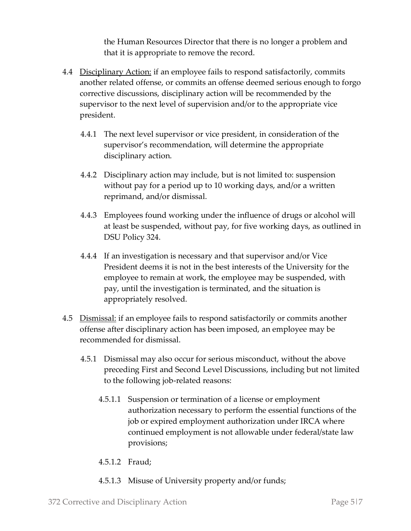the Human Resources Director that there is no longer a problem and that it is appropriate to remove the record.

- 4.4 Disciplinary Action: if an employee fails to respond satisfactorily, commits another related offense, or commits an offense deemed serious enough to forgo corrective discussions, disciplinary action will be recommended by the supervisor to the next level of supervision and/or to the appropriate vice president.
	- 4.4.1 The next level supervisor or vice president, in consideration of the supervisor's recommendation, will determine the appropriate disciplinary action.
	- 4.4.2 Disciplinary action may include, but is not limited to: suspension without pay for a period up to 10 working days, and/or a written reprimand, and/or dismissal.
	- 4.4.3 Employees found working under the influence of drugs or alcohol will at least be suspended, without pay, for five working days, as outlined in DSU Policy 324.
	- 4.4.4 If an investigation is necessary and that supervisor and/or Vice President deems it is not in the best interests of the University for the employee to remain at work, the employee may be suspended, with pay, until the investigation is terminated, and the situation is appropriately resolved.
- 4.5 Dismissal: if an employee fails to respond satisfactorily or commits another offense after disciplinary action has been imposed, an employee may be recommended for dismissal.
	- 4.5.1 Dismissal may also occur for serious misconduct, without the above preceding First and Second Level Discussions, including but not limited to the following job-related reasons:
		- 4.5.1.1 Suspension or termination of a license or employment authorization necessary to perform the essential functions of the job or expired employment authorization under IRCA where continued employment is not allowable under federal/state law provisions;
		- 4.5.1.2 Fraud;
		- 4.5.1.3 Misuse of University property and/or funds;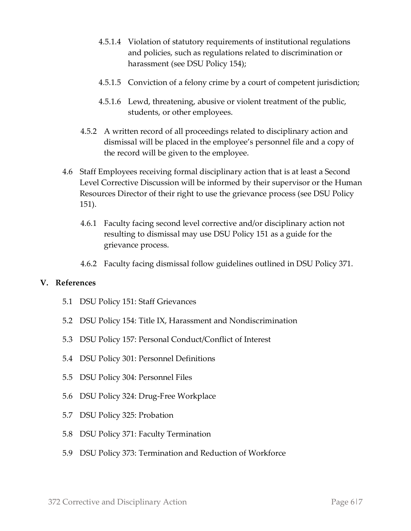- 4.5.1.4 Violation of statutory requirements of institutional regulations and policies, such as regulations related to discrimination or harassment (see DSU Policy 154);
- 4.5.1.5 Conviction of a felony crime by a court of competent jurisdiction;
- 4.5.1.6 Lewd, threatening, abusive or violent treatment of the public, students, or other employees.
- 4.5.2 A written record of all proceedings related to disciplinary action and dismissal will be placed in the employee's personnel file and a copy of the record will be given to the employee.
- 4.6 Staff Employees receiving formal disciplinary action that is at least a Second Level Corrective Discussion will be informed by their supervisor or the Human Resources Director of their right to use the grievance process (see DSU Policy 151).
	- 4.6.1 Faculty facing second level corrective and/or disciplinary action not resulting to dismissal may use DSU Policy 151 as a guide for the grievance process.
	- 4.6.2 Faculty facing dismissal follow guidelines outlined in DSU Policy 371.

#### **V. References**

- 5.1 DSU Policy 151: Staff Grievances
- 5.2 DSU Policy 154: Title IX, Harassment and Nondiscrimination
- 5.3 DSU Policy 157: Personal Conduct/Conflict of Interest
- 5.4 DSU Policy 301: Personnel Definitions
- 5.5 DSU Policy 304: Personnel Files
- 5.6 DSU Policy 324: Drug-Free Workplace
- 5.7 DSU Policy 325: Probation
- 5.8 DSU Policy 371: Faculty Termination
- 5.9 DSU Policy 373: Termination and Reduction of Workforce